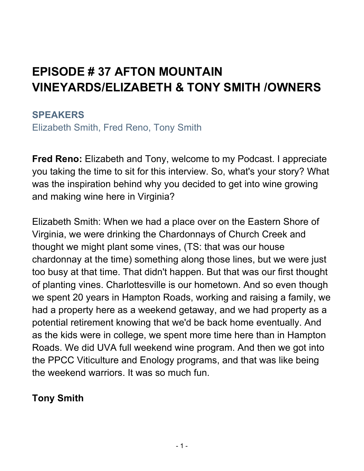# **EPISODE # 37 AFTON MOUNTAIN VINEYARDS/ELIZABETH & TONY SMITH /OWNERS**

#### **SPEAKERS**

Elizabeth Smith, Fred Reno, Tony Smith

**Fred Reno:** Elizabeth and Tony, welcome to my Podcast. I appreciate you taking the time to sit for this interview. So, what's your story? What was the inspiration behind why you decided to get into wine growing and making wine here in Virginia?

Elizabeth Smith: When we had a place over on the Eastern Shore of Virginia, we were drinking the Chardonnays of Church Creek and thought we might plant some vines, (TS: that was our house chardonnay at the time) something along those lines, but we were just too busy at that time. That didn't happen. But that was our first thought of planting vines. Charlottesville is our hometown. And so even though we spent 20 years in Hampton Roads, working and raising a family, we had a property here as a weekend getaway, and we had property as a potential retirement knowing that we'd be back home eventually. And as the kids were in college, we spent more time here than in Hampton Roads. We did UVA full weekend wine program. And then we got into the PPCC Viticulture and Enology programs, and that was like being the weekend warriors. It was so much fun.

# **Tony Smith**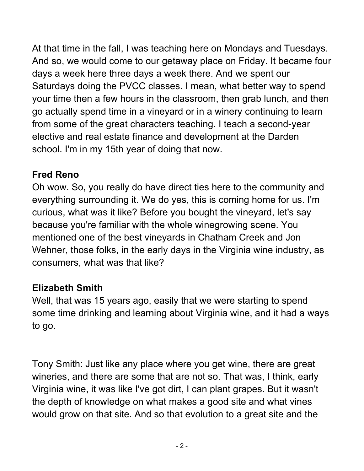At that time in the fall, I was teaching here on Mondays and Tuesdays. And so, we would come to our getaway place on Friday. It became four days a week here three days a week there. And we spent our Saturdays doing the PVCC classes. I mean, what better way to spend your time then a few hours in the classroom, then grab lunch, and then go actually spend time in a vineyard or in a winery continuing to learn from some of the great characters teaching. I teach a second-year elective and real estate finance and development at the Darden school. I'm in my 15th year of doing that now.

# **Fred Reno**

Oh wow. So, you really do have direct ties here to the community and everything surrounding it. We do yes, this is coming home for us. I'm curious, what was it like? Before you bought the vineyard, let's say because you're familiar with the whole winegrowing scene. You mentioned one of the best vineyards in Chatham Creek and Jon Wehner, those folks, in the early days in the Virginia wine industry, as consumers, what was that like?

# **Elizabeth Smith**

Well, that was 15 years ago, easily that we were starting to spend some time drinking and learning about Virginia wine, and it had a ways to go.

Tony Smith: Just like any place where you get wine, there are great wineries, and there are some that are not so. That was, I think, early Virginia wine, it was like I've got dirt, I can plant grapes. But it wasn't the depth of knowledge on what makes a good site and what vines would grow on that site. And so that evolution to a great site and the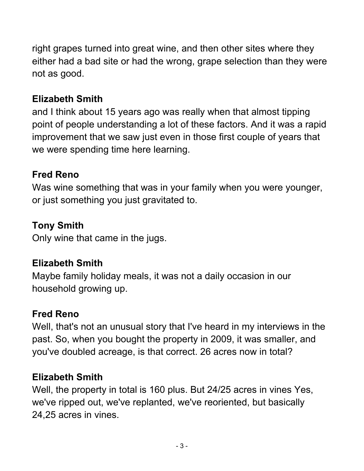right grapes turned into great wine, and then other sites where they either had a bad site or had the wrong, grape selection than they were not as good.

# **Elizabeth Smith**

and I think about 15 years ago was really when that almost tipping point of people understanding a lot of these factors. And it was a rapid improvement that we saw just even in those first couple of years that we were spending time here learning.

# **Fred Reno**

Was wine something that was in your family when you were younger, or just something you just gravitated to.

# **Tony Smith**

Only wine that came in the jugs.

# **Elizabeth Smith**

Maybe family holiday meals, it was not a daily occasion in our household growing up.

# **Fred Reno**

Well, that's not an unusual story that I've heard in my interviews in the past. So, when you bought the property in 2009, it was smaller, and you've doubled acreage, is that correct. 26 acres now in total?

# **Elizabeth Smith**

Well, the property in total is 160 plus. But 24/25 acres in vines Yes, we've ripped out, we've replanted, we've reoriented, but basically 24,25 acres in vines.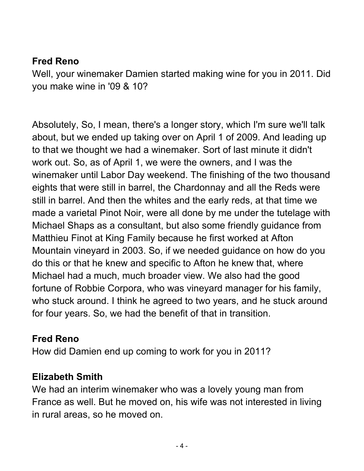#### **Fred Reno**

Well, your winemaker Damien started making wine for you in 2011. Did you make wine in '09 & 10?

Absolutely, So, I mean, there's a longer story, which I'm sure we'll talk about, but we ended up taking over on April 1 of 2009. And leading up to that we thought we had a winemaker. Sort of last minute it didn't work out. So, as of April 1, we were the owners, and I was the winemaker until Labor Day weekend. The finishing of the two thousand eights that were still in barrel, the Chardonnay and all the Reds were still in barrel. And then the whites and the early reds, at that time we made a varietal Pinot Noir, were all done by me under the tutelage with Michael Shaps as a consultant, but also some friendly guidance from Matthieu Finot at King Family because he first worked at Afton Mountain vineyard in 2003. So, if we needed guidance on how do you do this or that he knew and specific to Afton he knew that, where Michael had a much, much broader view. We also had the good fortune of Robbie Corpora, who was vineyard manager for his family, who stuck around. I think he agreed to two years, and he stuck around for four years. So, we had the benefit of that in transition.

#### **Fred Reno**

How did Damien end up coming to work for you in 2011?

#### **Elizabeth Smith**

We had an interim winemaker who was a lovely young man from France as well. But he moved on, his wife was not interested in living in rural areas, so he moved on.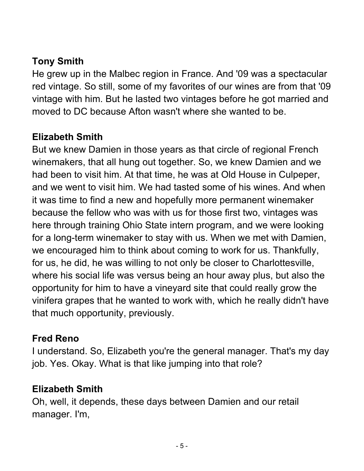# **Tony Smith**

He grew up in the Malbec region in France. And '09 was a spectacular red vintage. So still, some of my favorites of our wines are from that '09 vintage with him. But he lasted two vintages before he got married and moved to DC because Afton wasn't where she wanted to be.

#### **Elizabeth Smith**

But we knew Damien in those years as that circle of regional French winemakers, that all hung out together. So, we knew Damien and we had been to visit him. At that time, he was at Old House in Culpeper, and we went to visit him. We had tasted some of his wines. And when it was time to find a new and hopefully more permanent winemaker because the fellow who was with us for those first two, vintages was here through training Ohio State intern program, and we were looking for a long-term winemaker to stay with us. When we met with Damien, we encouraged him to think about coming to work for us. Thankfully, for us, he did, he was willing to not only be closer to Charlottesville, where his social life was versus being an hour away plus, but also the opportunity for him to have a vineyard site that could really grow the vinifera grapes that he wanted to work with, which he really didn't have that much opportunity, previously.

#### **Fred Reno**

I understand. So, Elizabeth you're the general manager. That's my day job. Yes. Okay. What is that like jumping into that role?

#### **Elizabeth Smith**

Oh, well, it depends, these days between Damien and our retail manager. I'm,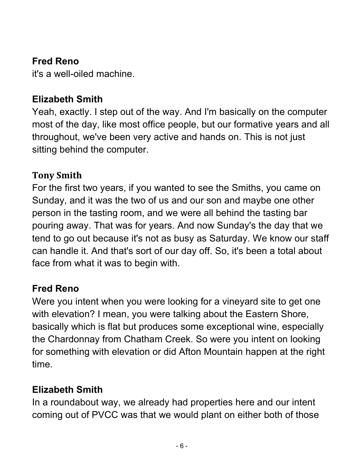#### **Fred Reno**

it's a well-oiled machine.

#### **Elizabeth Smith**

Yeah, exactly. I step out of the way. And I'm basically on the computer most of the day, like most office people, but our formative years and all throughout, we've been very active and hands on. This is not just sitting behind the computer.

#### **Tony Smith**

For the first two years, if you wanted to see the Smiths, you came on Sunday, and it was the two of us and our son and maybe one other person in the tasting room, and we were all behind the tasting bar pouring away. That was for years. And now Sunday's the day that we tend to go out because it's not as busy as Saturday. We know our staff can handle it. And that's sort of our day off. So, it's been a total about face from what it was to begin with.

# **Fred Reno**

Were you intent when you were looking for a vineyard site to get one with elevation? I mean, you were talking about the Eastern Shore, basically which is flat but produces some exceptional wine, especially the Chardonnay from Chatham Creek. So were you intent on looking for something with elevation or did Afton Mountain happen at the right time.

# **Elizabeth Smith**

In a roundabout way, we already had properties here and our intent coming out of PVCC was that we would plant on either both of those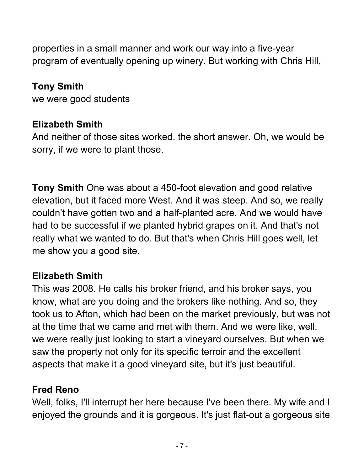properties in a small manner and work our way into a five-year program of eventually opening up winery. But working with Chris Hill,

### **Tony Smith**

we were good students

# **Elizabeth Smith**

And neither of those sites worked. the short answer. Oh, we would be sorry, if we were to plant those.

**Tony Smith** One was about a 450-foot elevation and good relative elevation, but it faced more West. And it was steep. And so, we really couldn't have gotten two and a half-planted acre. And we would have had to be successful if we planted hybrid grapes on it. And that's not really what we wanted to do. But that's when Chris Hill goes well, let me show you a good site.

# **Elizabeth Smith**

This was 2008. He calls his broker friend, and his broker says, you know, what are you doing and the brokers like nothing. And so, they took us to Afton, which had been on the market previously, but was not at the time that we came and met with them. And we were like, well, we were really just looking to start a vineyard ourselves. But when we saw the property not only for its specific terroir and the excellent aspects that make it a good vineyard site, but it's just beautiful.

# **Fred Reno**

Well, folks, I'll interrupt her here because I've been there. My wife and I enjoyed the grounds and it is gorgeous. It's just flat-out a gorgeous site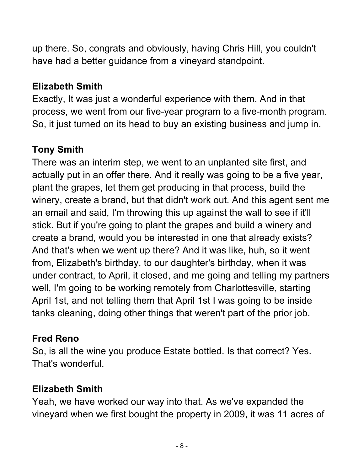up there. So, congrats and obviously, having Chris Hill, you couldn't have had a better guidance from a vineyard standpoint.

# **Elizabeth Smith**

Exactly, It was just a wonderful experience with them. And in that process, we went from our five-year program to a five-month program. So, it just turned on its head to buy an existing business and jump in.

# **Tony Smith**

There was an interim step, we went to an unplanted site first, and actually put in an offer there. And it really was going to be a five year, plant the grapes, let them get producing in that process, build the winery, create a brand, but that didn't work out. And this agent sent me an email and said, I'm throwing this up against the wall to see if it'll stick. But if you're going to plant the grapes and build a winery and create a brand, would you be interested in one that already exists? And that's when we went up there? And it was like, huh, so it went from, Elizabeth's birthday, to our daughter's birthday, when it was under contract, to April, it closed, and me going and telling my partners well, I'm going to be working remotely from Charlottesville, starting April 1st, and not telling them that April 1st I was going to be inside tanks cleaning, doing other things that weren't part of the prior job.

# **Fred Reno**

So, is all the wine you produce Estate bottled. Is that correct? Yes. That's wonderful.

# **Elizabeth Smith**

Yeah, we have worked our way into that. As we've expanded the vineyard when we first bought the property in 2009, it was 11 acres of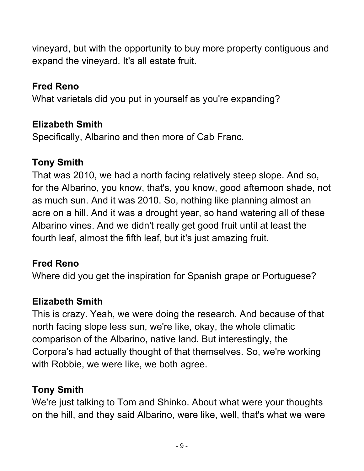vineyard, but with the opportunity to buy more property contiguous and expand the vineyard. It's all estate fruit.

# **Fred Reno**

What varietals did you put in yourself as you're expanding?

# **Elizabeth Smith**

Specifically, Albarino and then more of Cab Franc.

# **Tony Smith**

That was 2010, we had a north facing relatively steep slope. And so, for the Albarino, you know, that's, you know, good afternoon shade, not as much sun. And it was 2010. So, nothing like planning almost an acre on a hill. And it was a drought year, so hand watering all of these Albarino vines. And we didn't really get good fruit until at least the fourth leaf, almost the fifth leaf, but it's just amazing fruit.

# **Fred Reno**

Where did you get the inspiration for Spanish grape or Portuguese?

# **Elizabeth Smith**

This is crazy. Yeah, we were doing the research. And because of that north facing slope less sun, we're like, okay, the whole climatic comparison of the Albarino, native land. But interestingly, the Corpora's had actually thought of that themselves. So, we're working with Robbie, we were like, we both agree.

# **Tony Smith**

We're just talking to Tom and Shinko. About what were your thoughts on the hill, and they said Albarino, were like, well, that's what we were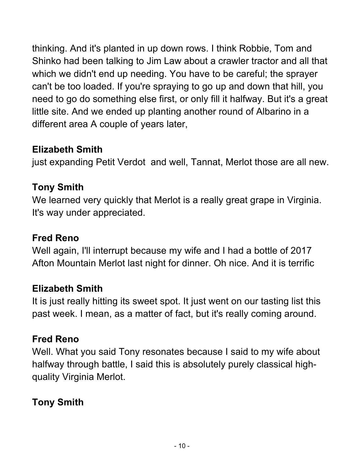thinking. And it's planted in up down rows. I think Robbie, Tom and Shinko had been talking to Jim Law about a crawler tractor and all that which we didn't end up needing. You have to be careful; the sprayer can't be too loaded. If you're spraying to go up and down that hill, you need to go do something else first, or only fill it halfway. But it's a great little site. And we ended up planting another round of Albarino in a different area A couple of years later,

#### **Elizabeth Smith**

just expanding Petit Verdot and well, Tannat, Merlot those are all new.

#### **Tony Smith**

We learned very quickly that Merlot is a really great grape in Virginia. It's way under appreciated.

#### **Fred Reno**

Well again, I'll interrupt because my wife and I had a bottle of 2017 Afton Mountain Merlot last night for dinner. Oh nice. And it is terrific

#### **Elizabeth Smith**

It is just really hitting its sweet spot. It just went on our tasting list this past week. I mean, as a matter of fact, but it's really coming around.

#### **Fred Reno**

Well. What you said Tony resonates because I said to my wife about halfway through battle, I said this is absolutely purely classical highquality Virginia Merlot.

# **Tony Smith**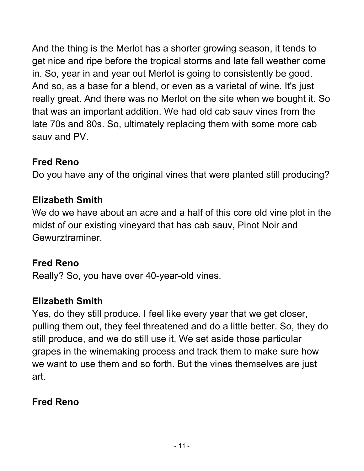And the thing is the Merlot has a shorter growing season, it tends to get nice and ripe before the tropical storms and late fall weather come in. So, year in and year out Merlot is going to consistently be good. And so, as a base for a blend, or even as a varietal of wine. It's just really great. And there was no Merlot on the site when we bought it. So that was an important addition. We had old cab sauv vines from the late 70s and 80s. So, ultimately replacing them with some more cab sauv and PV.

# **Fred Reno**

Do you have any of the original vines that were planted still producing?

#### **Elizabeth Smith**

We do we have about an acre and a half of this core old vine plot in the midst of our existing vineyard that has cab sauv, Pinot Noir and Gewurztraminer.

#### **Fred Reno**

Really? So, you have over 40-year-old vines.

# **Elizabeth Smith**

Yes, do they still produce. I feel like every year that we get closer, pulling them out, they feel threatened and do a little better. So, they do still produce, and we do still use it. We set aside those particular grapes in the winemaking process and track them to make sure how we want to use them and so forth. But the vines themselves are just art.

# **Fred Reno**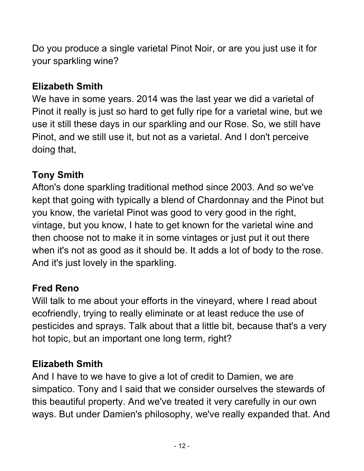Do you produce a single varietal Pinot Noir, or are you just use it for your sparkling wine?

# **Elizabeth Smith**

We have in some years. 2014 was the last year we did a varietal of Pinot it really is just so hard to get fully ripe for a varietal wine, but we use it still these days in our sparkling and our Rose. So, we still have Pinot, and we still use it, but not as a varietal. And I don't perceive doing that,

# **Tony Smith**

Afton's done sparkling traditional method since 2003. And so we've kept that going with typically a blend of Chardonnay and the Pinot but you know, the varietal Pinot was good to very good in the right, vintage, but you know, I hate to get known for the varietal wine and then choose not to make it in some vintages or just put it out there when it's not as good as it should be. It adds a lot of body to the rose. And it's just lovely in the sparkling.

# **Fred Reno**

Will talk to me about your efforts in the vineyard, where I read about ecofriendly, trying to really eliminate or at least reduce the use of pesticides and sprays. Talk about that a little bit, because that's a very hot topic, but an important one long term, right?

# **Elizabeth Smith**

And I have to we have to give a lot of credit to Damien, we are simpatico. Tony and I said that we consider ourselves the stewards of this beautiful property. And we've treated it very carefully in our own ways. But under Damien's philosophy, we've really expanded that. And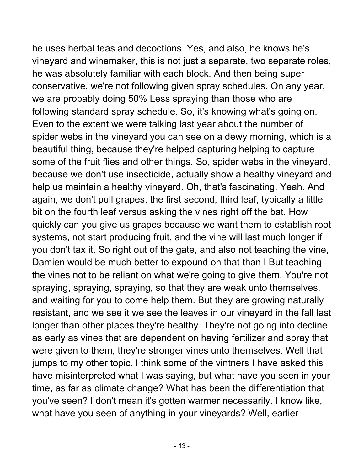he uses herbal teas and decoctions. Yes, and also, he knows he's vineyard and winemaker, this is not just a separate, two separate roles, he was absolutely familiar with each block. And then being super conservative, we're not following given spray schedules. On any year, we are probably doing 50% Less spraying than those who are following standard spray schedule. So, it's knowing what's going on. Even to the extent we were talking last year about the number of spider webs in the vineyard you can see on a dewy morning, which is a beautiful thing, because they're helped capturing helping to capture some of the fruit flies and other things. So, spider webs in the vineyard, because we don't use insecticide, actually show a healthy vineyard and help us maintain a healthy vineyard. Oh, that's fascinating. Yeah. And again, we don't pull grapes, the first second, third leaf, typically a little bit on the fourth leaf versus asking the vines right off the bat. How quickly can you give us grapes because we want them to establish root systems, not start producing fruit, and the vine will last much longer if you don't tax it. So right out of the gate, and also not teaching the vine, Damien would be much better to expound on that than I But teaching the vines not to be reliant on what we're going to give them. You're not spraying, spraying, spraying, so that they are weak unto themselves, and waiting for you to come help them. But they are growing naturally resistant, and we see it we see the leaves in our vineyard in the fall last longer than other places they're healthy. They're not going into decline as early as vines that are dependent on having fertilizer and spray that were given to them, they're stronger vines unto themselves. Well that jumps to my other topic. I think some of the vintners I have asked this have misinterpreted what I was saying, but what have you seen in your time, as far as climate change? What has been the differentiation that you've seen? I don't mean it's gotten warmer necessarily. I know like, what have you seen of anything in your vineyards? Well, earlier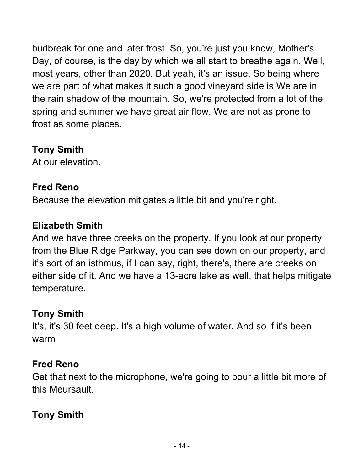budbreak for one and later frost. So, you're just you know, Mother's Day, of course, is the day by which we all start to breathe again. Well, most years, other than 2020. But yeah, it's an issue. So being where we are part of what makes it such a good vineyard side is We are in the rain shadow of the mountain. So, we're protected from a lot of the spring and summer we have great air flow. We are not as prone to frost as some places.

#### **Tony Smith**

At our elevation.

# **Fred Reno**

Because the elevation mitigates a little bit and you're right.

# **Elizabeth Smith**

And we have three creeks on the property. If you look at our property from the Blue Ridge Parkway, you can see down on our property, and it's sort of an isthmus, if I can say, right, there's, there are creeks on either side of it. And we have a 13-acre lake as well, that helps mitigate temperature.

# **Tony Smith**

It's, it's 30 feet deep. It's a high volume of water. And so if it's been warm

# **Fred Reno**

Get that next to the microphone, we're going to pour a little bit more of this Meursault.

# **Tony Smith**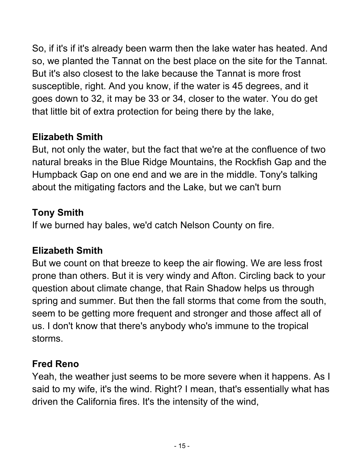So, if it's if it's already been warm then the lake water has heated. And so, we planted the Tannat on the best place on the site for the Tannat. But it's also closest to the lake because the Tannat is more frost susceptible, right. And you know, if the water is 45 degrees, and it goes down to 32, it may be 33 or 34, closer to the water. You do get that little bit of extra protection for being there by the lake,

# **Elizabeth Smith**

But, not only the water, but the fact that we're at the confluence of two natural breaks in the Blue Ridge Mountains, the Rockfish Gap and the Humpback Gap on one end and we are in the middle. Tony's talking about the mitigating factors and the Lake, but we can't burn

#### **Tony Smith**

If we burned hay bales, we'd catch Nelson County on fire.

# **Elizabeth Smith**

But we count on that breeze to keep the air flowing. We are less frost prone than others. But it is very windy and Afton. Circling back to your question about climate change, that Rain Shadow helps us through spring and summer. But then the fall storms that come from the south, seem to be getting more frequent and stronger and those affect all of us. I don't know that there's anybody who's immune to the tropical storms.

# **Fred Reno**

Yeah, the weather just seems to be more severe when it happens. As I said to my wife, it's the wind. Right? I mean, that's essentially what has driven the California fires. It's the intensity of the wind,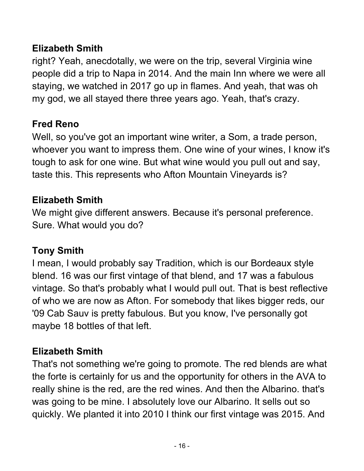#### **Elizabeth Smith**

right? Yeah, anecdotally, we were on the trip, several Virginia wine people did a trip to Napa in 2014. And the main Inn where we were all staying, we watched in 2017 go up in flames. And yeah, that was oh my god, we all stayed there three years ago. Yeah, that's crazy.

# **Fred Reno**

Well, so you've got an important wine writer, a Som, a trade person, whoever you want to impress them. One wine of your wines, I know it's tough to ask for one wine. But what wine would you pull out and say, taste this. This represents who Afton Mountain Vineyards is?

# **Elizabeth Smith**

We might give different answers. Because it's personal preference. Sure. What would you do?

# **Tony Smith**

I mean, I would probably say Tradition, which is our Bordeaux style blend. 16 was our first vintage of that blend, and 17 was a fabulous vintage. So that's probably what I would pull out. That is best reflective of who we are now as Afton. For somebody that likes bigger reds, our '09 Cab Sauv is pretty fabulous. But you know, I've personally got maybe 18 bottles of that left.

# **Elizabeth Smith**

That's not something we're going to promote. The red blends are what the forte is certainly for us and the opportunity for others in the AVA to really shine is the red, are the red wines. And then the Albarino. that's was going to be mine. I absolutely love our Albarino. It sells out so quickly. We planted it into 2010 I think our first vintage was 2015. And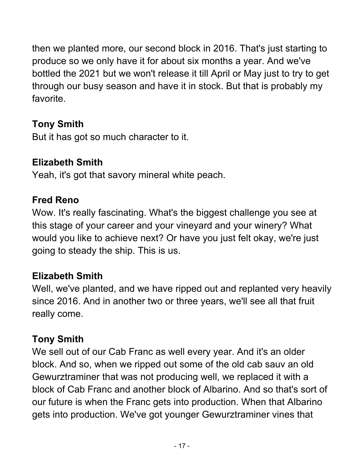then we planted more, our second block in 2016. That's just starting to produce so we only have it for about six months a year. And we've bottled the 2021 but we won't release it till April or May just to try to get through our busy season and have it in stock. But that is probably my favorite.

# **Tony Smith**

But it has got so much character to it.

# **Elizabeth Smith**

Yeah, it's got that savory mineral white peach.

#### **Fred Reno**

Wow. It's really fascinating. What's the biggest challenge you see at this stage of your career and your vineyard and your winery? What would you like to achieve next? Or have you just felt okay, we're just going to steady the ship. This is us.

# **Elizabeth Smith**

Well, we've planted, and we have ripped out and replanted very heavily since 2016. And in another two or three years, we'll see all that fruit really come.

# **Tony Smith**

We sell out of our Cab Franc as well every year. And it's an older block. And so, when we ripped out some of the old cab sauv an old Gewurztraminer that was not producing well, we replaced it with a block of Cab Franc and another block of Albarino. And so that's sort of our future is when the Franc gets into production. When that Albarino gets into production. We've got younger Gewurztraminer vines that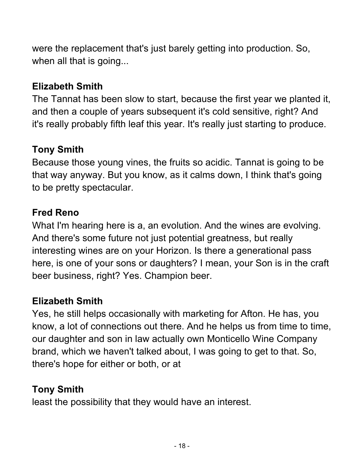were the replacement that's just barely getting into production. So, when all that is going...

# **Elizabeth Smith**

The Tannat has been slow to start, because the first year we planted it, and then a couple of years subsequent it's cold sensitive, right? And it's really probably fifth leaf this year. It's really just starting to produce.

# **Tony Smith**

Because those young vines, the fruits so acidic. Tannat is going to be that way anyway. But you know, as it calms down, I think that's going to be pretty spectacular.

# **Fred Reno**

What I'm hearing here is a, an evolution. And the wines are evolving. And there's some future not just potential greatness, but really interesting wines are on your Horizon. Is there a generational pass here, is one of your sons or daughters? I mean, your Son is in the craft beer business, right? Yes. Champion beer.

# **Elizabeth Smith**

Yes, he still helps occasionally with marketing for Afton. He has, you know, a lot of connections out there. And he helps us from time to time, our daughter and son in law actually own Monticello Wine Company brand, which we haven't talked about, I was going to get to that. So, there's hope for either or both, or at

# **Tony Smith**

least the possibility that they would have an interest.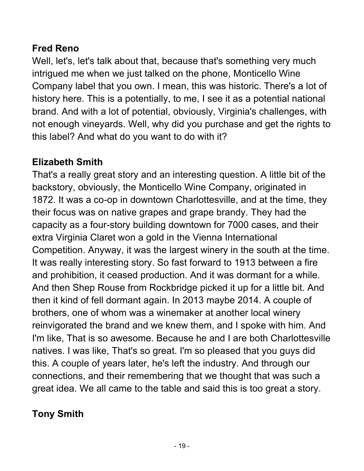# **Fred Reno**

Well, let's, let's talk about that, because that's something very much intrigued me when we just talked on the phone, Monticello Wine Company label that you own. I mean, this was historic. There's a lot of history here. This is a potentially, to me, I see it as a potential national brand. And with a lot of potential, obviously, Virginia's challenges, with not enough vineyards. Well, why did you purchase and get the rights to this label? And what do you want to do with it?

# **Elizabeth Smith**

That's a really great story and an interesting question. A little bit of the backstory, obviously, the Monticello Wine Company, originated in 1872. It was a co-op in downtown Charlottesville, and at the time, they their focus was on native grapes and grape brandy. They had the capacity as a four-story building downtown for 7000 cases, and their extra Virginia Claret won a gold in the Vienna International Competition. Anyway, it was the largest winery in the south at the time. It was really interesting story. So fast forward to 1913 between a fire and prohibition, it ceased production. And it was dormant for a while. And then Shep Rouse from Rockbridge picked it up for a little bit. And then it kind of fell dormant again. In 2013 maybe 2014. A couple of brothers, one of whom was a winemaker at another local winery reinvigorated the brand and we knew them, and I spoke with him. And I'm like, That is so awesome. Because he and I are both Charlottesville natives. I was like, That's so great. I'm so pleased that you guys did this. A couple of years later, he's left the industry. And through our connections, and their remembering that we thought that was such a great idea. We all came to the table and said this is too great a story.

# **Tony Smith**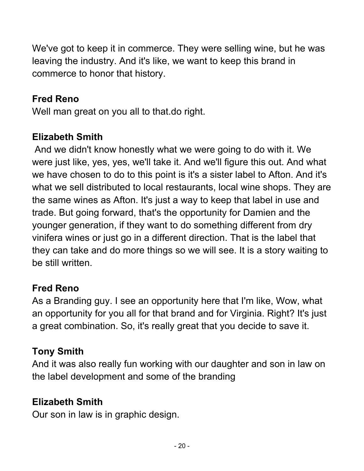We've got to keep it in commerce. They were selling wine, but he was leaving the industry. And it's like, we want to keep this brand in commerce to honor that history.

# **Fred Reno**

Well man great on you all to that.do right.

# **Elizabeth Smith**

And we didn't know honestly what we were going to do with it. We were just like, yes, yes, we'll take it. And we'll figure this out. And what we have chosen to do to this point is it's a sister label to Afton. And it's what we sell distributed to local restaurants, local wine shops. They are the same wines as Afton. It's just a way to keep that label in use and trade. But going forward, that's the opportunity for Damien and the younger generation, if they want to do something different from dry vinifera wines or just go in a different direction. That is the label that they can take and do more things so we will see. It is a story waiting to be still written.

# **Fred Reno**

As a Branding guy. I see an opportunity here that I'm like, Wow, what an opportunity for you all for that brand and for Virginia. Right? It's just a great combination. So, it's really great that you decide to save it.

# **Tony Smith**

And it was also really fun working with our daughter and son in law on the label development and some of the branding

# **Elizabeth Smith**

Our son in law is in graphic design.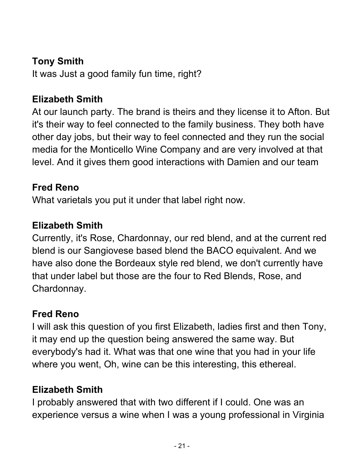## **Tony Smith**

It was Just a good family fun time, right?

#### **Elizabeth Smith**

At our launch party. The brand is theirs and they license it to Afton. But it's their way to feel connected to the family business. They both have other day jobs, but their way to feel connected and they run the social media for the Monticello Wine Company and are very involved at that level. And it gives them good interactions with Damien and our team

#### **Fred Reno**

What varietals you put it under that label right now.

#### **Elizabeth Smith**

Currently, it's Rose, Chardonnay, our red blend, and at the current red blend is our Sangiovese based blend the BACO equivalent. And we have also done the Bordeaux style red blend, we don't currently have that under label but those are the four to Red Blends, Rose, and Chardonnay.

#### **Fred Reno**

I will ask this question of you first Elizabeth, ladies first and then Tony, it may end up the question being answered the same way. But everybody's had it. What was that one wine that you had in your life where you went, Oh, wine can be this interesting, this ethereal.

# **Elizabeth Smith**

I probably answered that with two different if I could. One was an experience versus a wine when I was a young professional in Virginia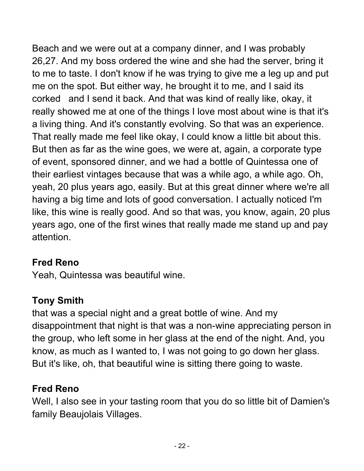Beach and we were out at a company dinner, and I was probably 26,27. And my boss ordered the wine and she had the server, bring it to me to taste. I don't know if he was trying to give me a leg up and put me on the spot. But either way, he brought it to me, and I said its corked and I send it back. And that was kind of really like, okay, it really showed me at one of the things I love most about wine is that it's a living thing. And it's constantly evolving. So that was an experience. That really made me feel like okay, I could know a little bit about this. But then as far as the wine goes, we were at, again, a corporate type of event, sponsored dinner, and we had a bottle of Quintessa one of their earliest vintages because that was a while ago, a while ago. Oh, yeah, 20 plus years ago, easily. But at this great dinner where we're all having a big time and lots of good conversation. I actually noticed I'm like, this wine is really good. And so that was, you know, again, 20 plus years ago, one of the first wines that really made me stand up and pay attention.

# **Fred Reno**

Yeah, Quintessa was beautiful wine.

# **Tony Smith**

that was a special night and a great bottle of wine. And my disappointment that night is that was a non-wine appreciating person in the group, who left some in her glass at the end of the night. And, you know, as much as I wanted to, I was not going to go down her glass. But it's like, oh, that beautiful wine is sitting there going to waste.

# **Fred Reno**

Well, I also see in your tasting room that you do so little bit of Damien's family Beaujolais Villages.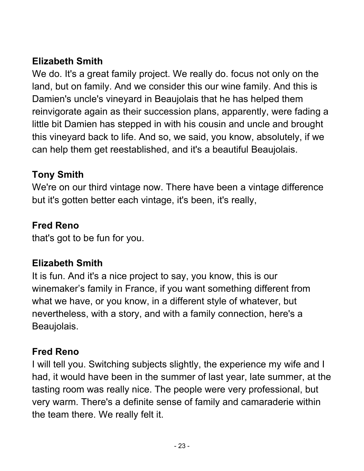# **Elizabeth Smith**

We do. It's a great family project. We really do. focus not only on the land, but on family. And we consider this our wine family. And this is Damien's uncle's vineyard in Beaujolais that he has helped them reinvigorate again as their succession plans, apparently, were fading a little bit Damien has stepped in with his cousin and uncle and brought this vineyard back to life. And so, we said, you know, absolutely, if we can help them get reestablished, and it's a beautiful Beaujolais.

#### **Tony Smith**

We're on our third vintage now. There have been a vintage difference but it's gotten better each vintage, it's been, it's really,

#### **Fred Reno**

that's got to be fun for you.

# **Elizabeth Smith**

It is fun. And it's a nice project to say, you know, this is our winemaker's family in France, if you want something different from what we have, or you know, in a different style of whatever, but nevertheless, with a story, and with a family connection, here's a Beaujolais.

#### **Fred Reno**

I will tell you. Switching subjects slightly, the experience my wife and I had, it would have been in the summer of last year, late summer, at the tasting room was really nice. The people were very professional, but very warm. There's a definite sense of family and camaraderie within the team there. We really felt it.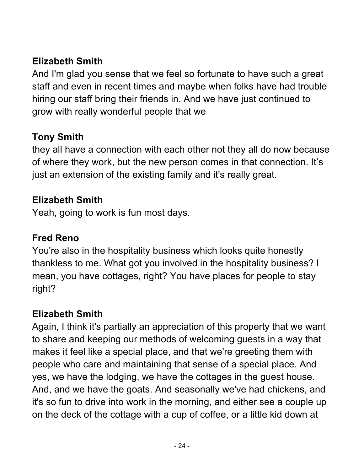# **Elizabeth Smith**

And I'm glad you sense that we feel so fortunate to have such a great staff and even in recent times and maybe when folks have had trouble hiring our staff bring their friends in. And we have just continued to grow with really wonderful people that we

# **Tony Smith**

they all have a connection with each other not they all do now because of where they work, but the new person comes in that connection. It's just an extension of the existing family and it's really great.

#### **Elizabeth Smith**

Yeah, going to work is fun most days.

#### **Fred Reno**

You're also in the hospitality business which looks quite honestly thankless to me. What got you involved in the hospitality business? I mean, you have cottages, right? You have places for people to stay right?

#### **Elizabeth Smith**

Again, I think it's partially an appreciation of this property that we want to share and keeping our methods of welcoming guests in a way that makes it feel like a special place, and that we're greeting them with people who care and maintaining that sense of a special place. And yes, we have the lodging, we have the cottages in the guest house. And, and we have the goats. And seasonally we've had chickens, and it's so fun to drive into work in the morning, and either see a couple up on the deck of the cottage with a cup of coffee, or a little kid down at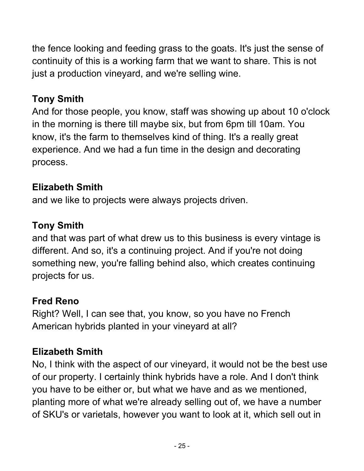the fence looking and feeding grass to the goats. It's just the sense of continuity of this is a working farm that we want to share. This is not just a production vineyard, and we're selling wine.

# **Tony Smith**

And for those people, you know, staff was showing up about 10 o'clock in the morning is there till maybe six, but from 6pm till 10am. You know, it's the farm to themselves kind of thing. It's a really great experience. And we had a fun time in the design and decorating process.

# **Elizabeth Smith**

and we like to projects were always projects driven.

# **Tony Smith**

and that was part of what drew us to this business is every vintage is different. And so, it's a continuing project. And if you're not doing something new, you're falling behind also, which creates continuing projects for us.

# **Fred Reno**

Right? Well, I can see that, you know, so you have no French American hybrids planted in your vineyard at all?

# **Elizabeth Smith**

No, I think with the aspect of our vineyard, it would not be the best use of our property. I certainly think hybrids have a role. And I don't think you have to be either or, but what we have and as we mentioned, planting more of what we're already selling out of, we have a number of SKU's or varietals, however you want to look at it, which sell out in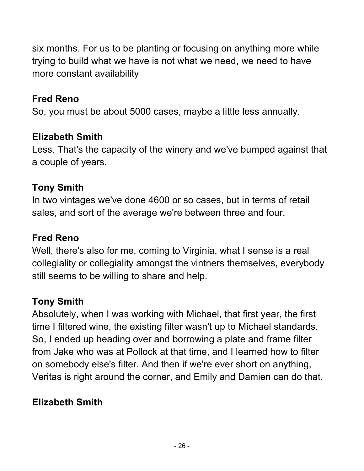six months. For us to be planting or focusing on anything more while trying to build what we have is not what we need, we need to have more constant availability

### **Fred Reno**

So, you must be about 5000 cases, maybe a little less annually.

#### **Elizabeth Smith**

Less. That's the capacity of the winery and we've bumped against that a couple of years.

# **Tony Smith**

In two vintages we've done 4600 or so cases, but in terms of retail sales, and sort of the average we're between three and four.

# **Fred Reno**

Well, there's also for me, coming to Virginia, what I sense is a real collegiality or collegiality amongst the vintners themselves, everybody still seems to be willing to share and help.

# **Tony Smith**

Absolutely, when I was working with Michael, that first year, the first time I filtered wine, the existing filter wasn't up to Michael standards. So, I ended up heading over and borrowing a plate and frame filter from Jake who was at Pollock at that time, and I learned how to filter on somebody else's filter. And then if we're ever short on anything, Veritas is right around the corner, and Emily and Damien can do that.

# **Elizabeth Smith**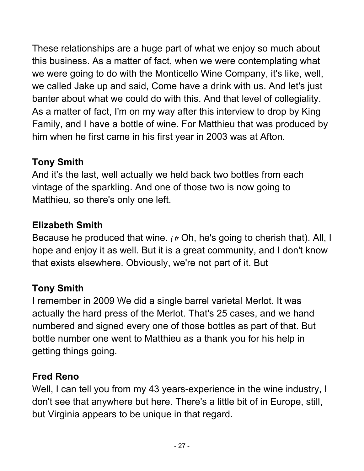These relationships are a huge part of what we enjoy so much about this business. As a matter of fact, when we were contemplating what we were going to do with the Monticello Wine Company, it's like, well, we called Jake up and said, Come have a drink with us. And let's just banter about what we could do with this. And that level of collegiality. As a matter of fact, I'm on my way after this interview to drop by King Family, and I have a bottle of wine. For Matthieu that was produced by him when he first came in his first year in 2003 was at Afton.

# **Tony Smith**

And it's the last, well actually we held back two bottles from each vintage of the sparkling. And one of those two is now going to Matthieu, so there's only one left.

# **Elizabeth Smith**

Because he produced that wine. *( fr* Oh, he's going to cherish that). All, I hope and enjoy it as well. But it is a great community, and I don't know that exists elsewhere. Obviously, we're not part of it. But

# **Tony Smith**

I remember in 2009 We did a single barrel varietal Merlot. It was actually the hard press of the Merlot. That's 25 cases, and we hand numbered and signed every one of those bottles as part of that. But bottle number one went to Matthieu as a thank you for his help in getting things going.

# **Fred Reno**

Well, I can tell you from my 43 years-experience in the wine industry, I don't see that anywhere but here. There's a little bit of in Europe, still, but Virginia appears to be unique in that regard.